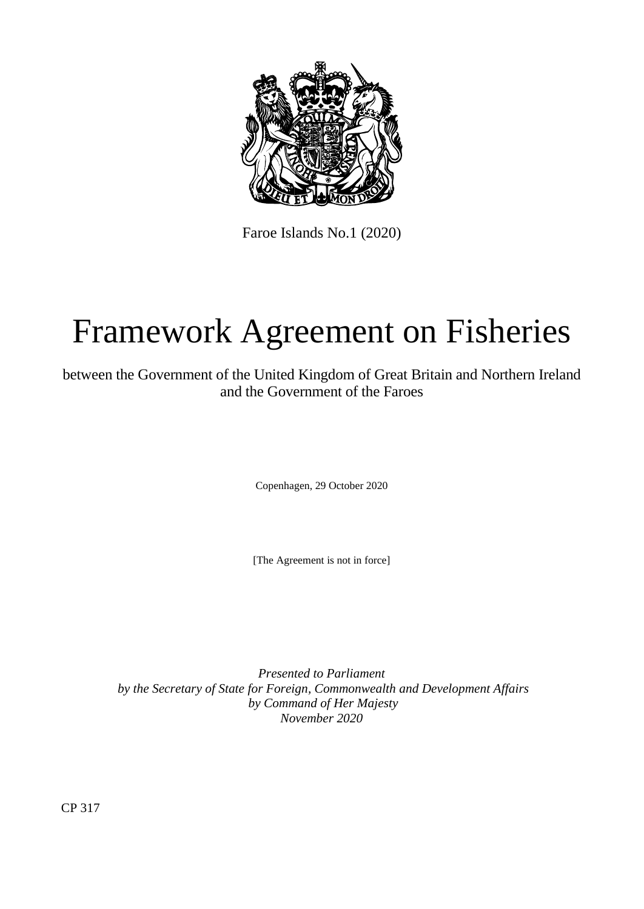

Faroe Islands No.1 (2020)

# Framework Agreement on Fisheries

between the Government of the United Kingdom of Great Britain and Northern Ireland and the Government of the Faroes

Copenhagen, 29 October 2020

[The Agreement is not in force]

*Presented to Parliament by the Secretary of State for Foreign, Commonwealth and Development Affairs by Command of Her Majesty November 2020*

CP 317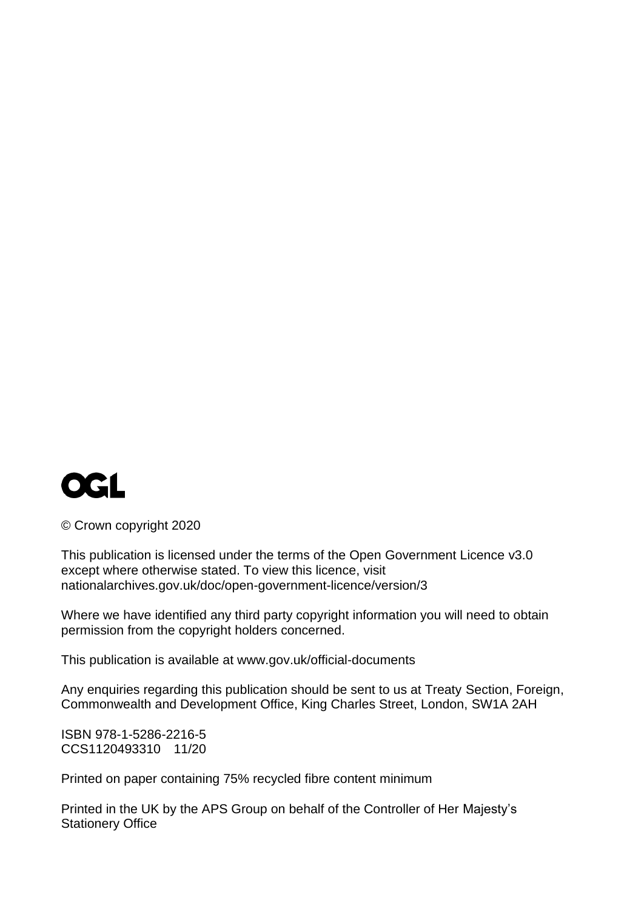

© Crown copyright 2020

This publication is licensed under the terms of the Open Government Licence v3.0 except where otherwise stated. To view this licence, visit [nationalarchives.gov.uk/doc/open-government-licence/version/3](http://www.nationalarchives.gov.uk/doc/open-government-licence/version/3) 

Where we have identified any third party copyright information you will need to obtain permission from the copyright holders concerned.

This publication is available at [www.gov.uk/official-documents](http://www.gov.uk/official-documents)

Any enquiries regarding this publication should be sent to us at Treaty Section, Foreign, Commonwealth and Development Office, King Charles Street, London, SW1A 2AH

ISBN 978-1-5286-2216-5 CCS1120493310 11/20

Printed on paper containing 75% recycled fibre content minimum

Printed in the UK by the APS Group on behalf of the Controller of Her Majesty's Stationery Office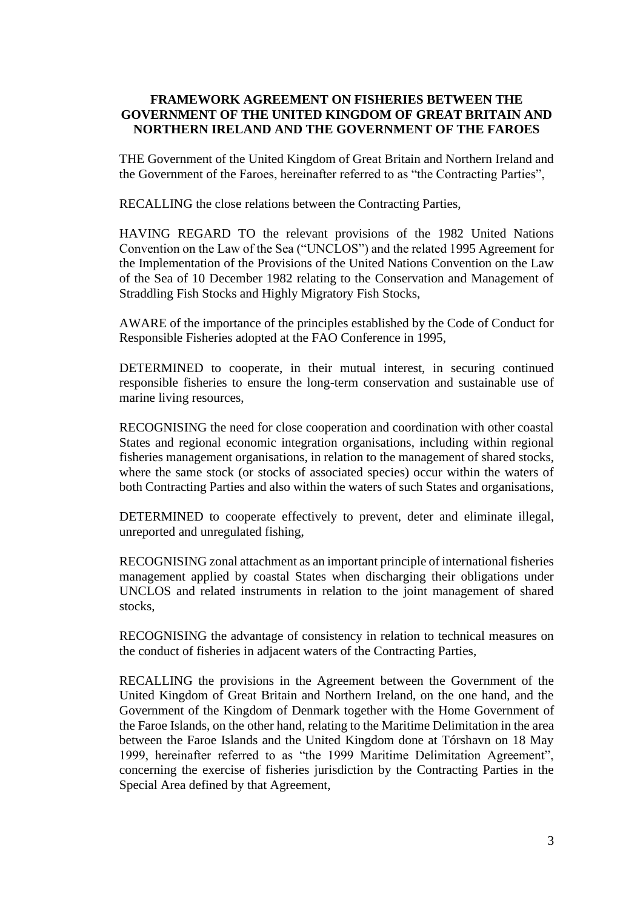## **FRAMEWORK AGREEMENT ON FISHERIES BETWEEN THE GOVERNMENT OF THE UNITED KINGDOM OF GREAT BRITAIN AND NORTHERN IRELAND AND THE GOVERNMENT OF THE FAROES**

THE Government of the United Kingdom of Great Britain and Northern Ireland and the Government of the Faroes, hereinafter referred to as "the Contracting Parties",

RECALLING the close relations between the Contracting Parties,

HAVING REGARD TO the relevant provisions of the 1982 United Nations Convention on the Law of the Sea ("UNCLOS") and the related 1995 Agreement for the Implementation of the Provisions of the United Nations Convention on the Law of the Sea of 10 December 1982 relating to the Conservation and Management of Straddling Fish Stocks and Highly Migratory Fish Stocks,

AWARE of the importance of the principles established by the Code of Conduct for Responsible Fisheries adopted at the FAO Conference in 1995,

DETERMINED to cooperate, in their mutual interest, in securing continued responsible fisheries to ensure the long-term conservation and sustainable use of marine living resources,

RECOGNISING the need for close cooperation and coordination with other coastal States and regional economic integration organisations, including within regional fisheries management organisations, in relation to the management of shared stocks, where the same stock (or stocks of associated species) occur within the waters of both Contracting Parties and also within the waters of such States and organisations,

DETERMINED to cooperate effectively to prevent, deter and eliminate illegal, unreported and unregulated fishing,

RECOGNISING zonal attachment as an important principle of international fisheries management applied by coastal States when discharging their obligations under UNCLOS and related instruments in relation to the joint management of shared stocks,

RECOGNISING the advantage of consistency in relation to technical measures on the conduct of fisheries in adjacent waters of the Contracting Parties,

RECALLING the provisions in the Agreement between the Government of the United Kingdom of Great Britain and Northern Ireland, on the one hand, and the Government of the Kingdom of Denmark together with the Home Government of the Faroe Islands, on the other hand, relating to the Maritime Delimitation in the area between the Faroe Islands and the United Kingdom done at Tórshavn on 18 May 1999, hereinafter referred to as "the 1999 Maritime Delimitation Agreement", concerning the exercise of fisheries jurisdiction by the Contracting Parties in the Special Area defined by that Agreement,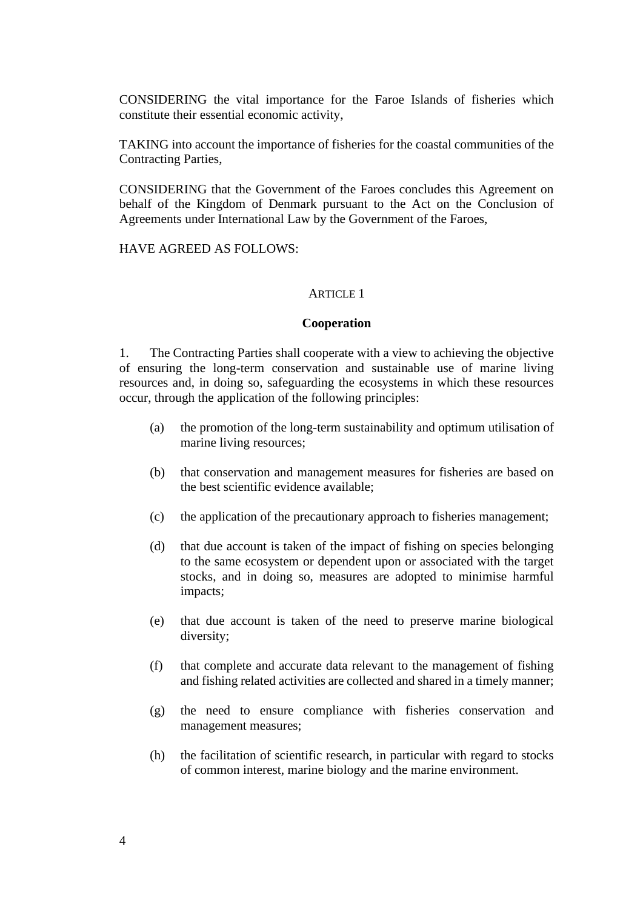CONSIDERING the vital importance for the Faroe Islands of fisheries which constitute their essential economic activity,

TAKING into account the importance of fisheries for the coastal communities of the Contracting Parties,

CONSIDERING that the Government of the Faroes concludes this Agreement on behalf of the Kingdom of Denmark pursuant to the Act on the Conclusion of Agreements under International Law by the Government of the Faroes,

HAVE AGREED AS FOLLOWS:

#### ARTICLE 1

#### **Cooperation**

1. The Contracting Parties shall cooperate with a view to achieving the objective of ensuring the long-term conservation and sustainable use of marine living resources and, in doing so, safeguarding the ecosystems in which these resources occur, through the application of the following principles:

- (a) the promotion of the long-term sustainability and optimum utilisation of marine living resources;
- (b) that conservation and management measures for fisheries are based on the best scientific evidence available;
- (c) the application of the precautionary approach to fisheries management;
- (d) that due account is taken of the impact of fishing on species belonging to the same ecosystem or dependent upon or associated with the target stocks, and in doing so, measures are adopted to minimise harmful impacts;
- (e) that due account is taken of the need to preserve marine biological diversity;
- (f) that complete and accurate data relevant to the management of fishing and fishing related activities are collected and shared in a timely manner;
- (g) the need to ensure compliance with fisheries conservation and management measures;
- (h) the facilitation of scientific research, in particular with regard to stocks of common interest, marine biology and the marine environment.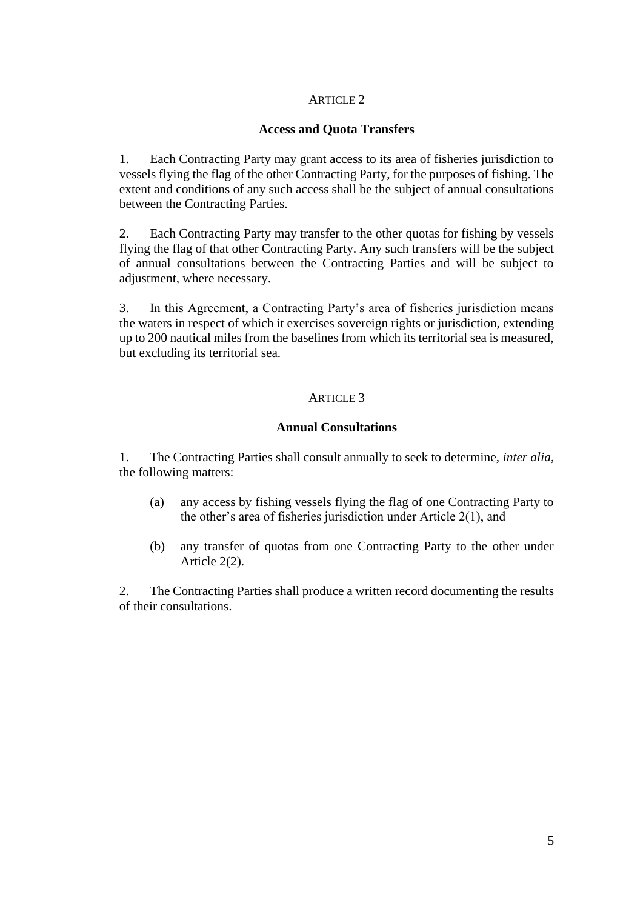## **Access and Quota Transfers**

1. Each Contracting Party may grant access to its area of fisheries jurisdiction to vessels flying the flag of the other Contracting Party, for the purposes of fishing. The extent and conditions of any such access shall be the subject of annual consultations between the Contracting Parties.

2. Each Contracting Party may transfer to the other quotas for fishing by vessels flying the flag of that other Contracting Party. Any such transfers will be the subject of annual consultations between the Contracting Parties and will be subject to adjustment, where necessary.

3. In this Agreement, a Contracting Party's area of fisheries jurisdiction means the waters in respect of which it exercises sovereign rights or jurisdiction, extending up to 200 nautical miles from the baselines from which its territorial sea is measured, but excluding its territorial sea.

## ARTICLE 3

## **Annual Consultations**

1. The Contracting Parties shall consult annually to seek to determine, *inter alia*, the following matters:

- (a) any access by fishing vessels flying the flag of one Contracting Party to the other's area of fisheries jurisdiction under Article 2(1), and
- (b) any transfer of quotas from one Contracting Party to the other under Article 2(2).

2. The Contracting Parties shall produce a written record documenting the results of their consultations.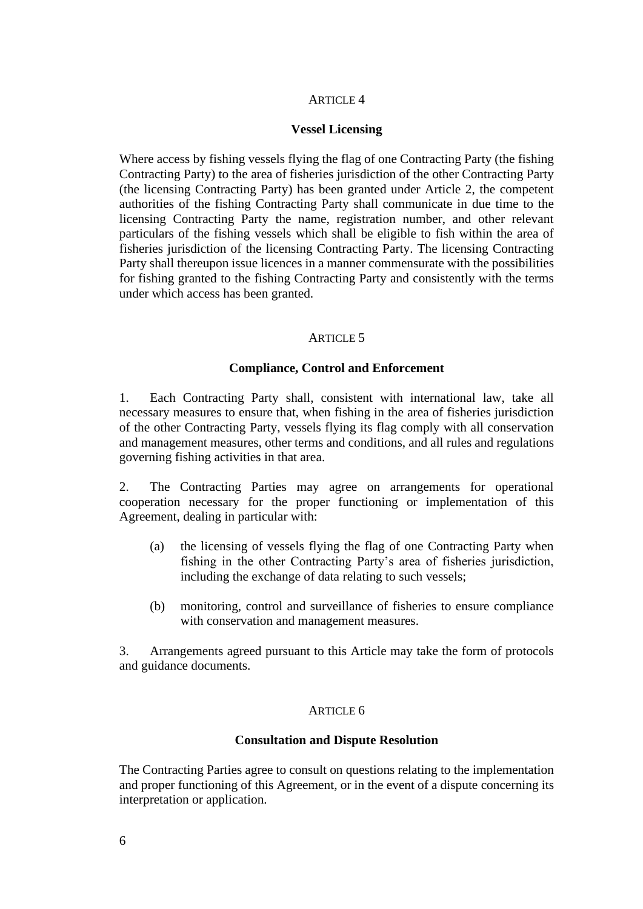#### **Vessel Licensing**

Where access by fishing vessels flying the flag of one Contracting Party (the fishing Contracting Party) to the area of fisheries jurisdiction of the other Contracting Party (the licensing Contracting Party) has been granted under Article 2, the competent authorities of the fishing Contracting Party shall communicate in due time to the licensing Contracting Party the name, registration number, and other relevant particulars of the fishing vessels which shall be eligible to fish within the area of fisheries jurisdiction of the licensing Contracting Party. The licensing Contracting Party shall thereupon issue licences in a manner commensurate with the possibilities for fishing granted to the fishing Contracting Party and consistently with the terms under which access has been granted.

#### ARTICLE<sub>5</sub>

#### **Compliance, Control and Enforcement**

1. Each Contracting Party shall, consistent with international law, take all necessary measures to ensure that, when fishing in the area of fisheries jurisdiction of the other Contracting Party, vessels flying its flag comply with all conservation and management measures, other terms and conditions, and all rules and regulations governing fishing activities in that area.

2. The Contracting Parties may agree on arrangements for operational cooperation necessary for the proper functioning or implementation of this Agreement, dealing in particular with:

- (a) the licensing of vessels flying the flag of one Contracting Party when fishing in the other Contracting Party's area of fisheries jurisdiction, including the exchange of data relating to such vessels;
- (b) monitoring, control and surveillance of fisheries to ensure compliance with conservation and management measures.

3. Arrangements agreed pursuant to this Article may take the form of protocols and guidance documents.

#### ARTICLE 6

#### **Consultation and Dispute Resolution**

The Contracting Parties agree to consult on questions relating to the implementation and proper functioning of this Agreement, or in the event of a dispute concerning its interpretation or application.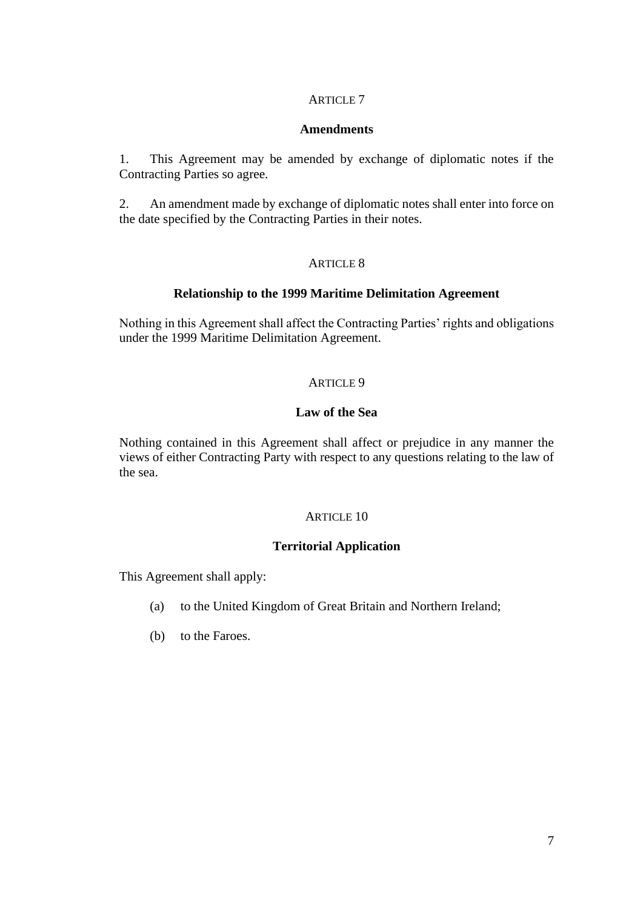## **Amendments**

1. This Agreement may be amended by exchange of diplomatic notes if the Contracting Parties so agree.

2. An amendment made by exchange of diplomatic notes shall enter into force on the date specified by the Contracting Parties in their notes.

## ARTICLE 8

## **Relationship to the 1999 Maritime Delimitation Agreement**

Nothing in this Agreement shall affect the Contracting Parties' rights and obligations under the 1999 Maritime Delimitation Agreement.

## ARTICLE 9

## **Law of the Sea**

Nothing contained in this Agreement shall affect or prejudice in any manner the views of either Contracting Party with respect to any questions relating to the law of the sea.

#### ARTICLE 10

# **Territorial Application**

This Agreement shall apply:

- (a) to the United Kingdom of Great Britain and Northern Ireland;
- (b) to the Faroes.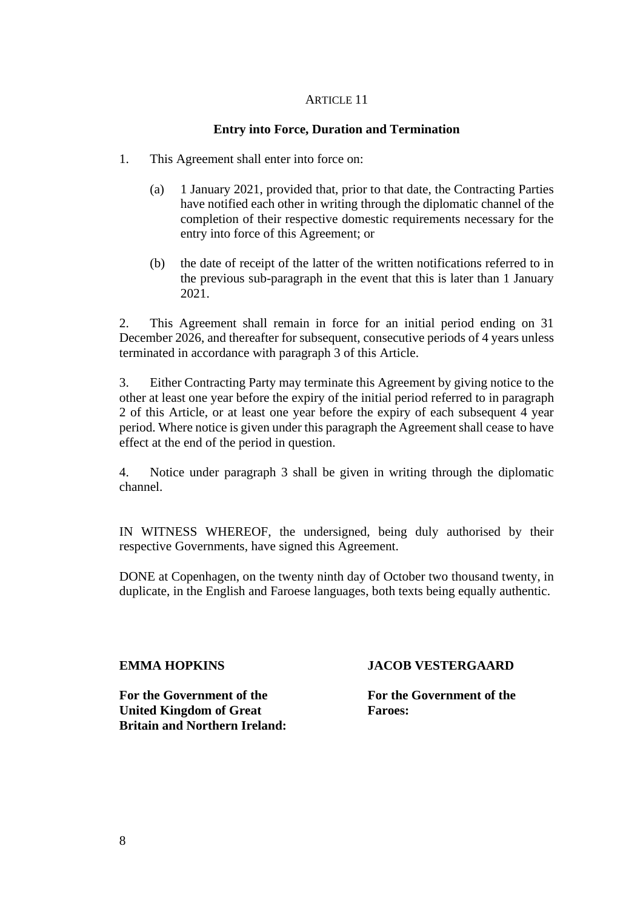## **Entry into Force, Duration and Termination**

- 1. This Agreement shall enter into force on:
	- (a) 1 January 2021, provided that, prior to that date, the Contracting Parties have notified each other in writing through the diplomatic channel of the completion of their respective domestic requirements necessary for the entry into force of this Agreement; or
	- (b) the date of receipt of the latter of the written notifications referred to in the previous sub-paragraph in the event that this is later than 1 January 2021.

2. This Agreement shall remain in force for an initial period ending on 31 December 2026, and thereafter for subsequent, consecutive periods of 4 years unless terminated in accordance with paragraph 3 of this Article.

3. Either Contracting Party may terminate this Agreement by giving notice to the other at least one year before the expiry of the initial period referred to in paragraph 2 of this Article, or at least one year before the expiry of each subsequent 4 year period. Where notice is given under this paragraph the Agreement shall cease to have effect at the end of the period in question.

4. Notice under paragraph 3 shall be given in writing through the diplomatic channel.

IN WITNESS WHEREOF, the undersigned, being duly authorised by their respective Governments, have signed this Agreement.

DONE at Copenhagen, on the twenty ninth day of October two thousand twenty, in duplicate, in the English and Faroese languages, both texts being equally authentic.

#### **EMMA HOPKINS**

**For the Government of the United Kingdom of Great Britain and Northern Ireland:** 

#### **JACOB VESTERGAARD**

**For the Government of the Faroes:**